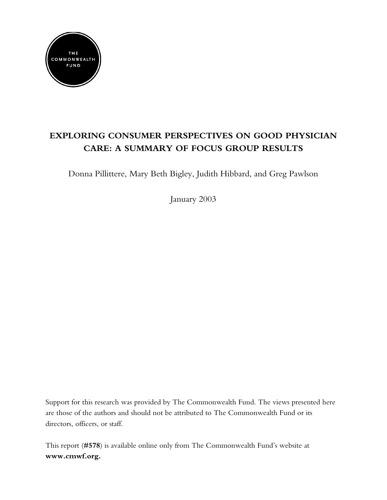

# **EXPLORING CONSUMER PERSPECTIVES ON GOOD PHYSICIAN CARE: A SUMMARY OF FOCUS GROUP RESULTS**

Donna Pillittere, Mary Beth Bigley, Judith Hibbard, and Greg Pawlson

January 2003

Support for this research was provided by The Commonwealth Fund. The views presented here are those of the authors and should not be attributed to The Commonwealth Fund or its directors, officers, or staff.

This report (**#578**) is available online only from The Commonwealth Fund's website at **www.cmwf.org.**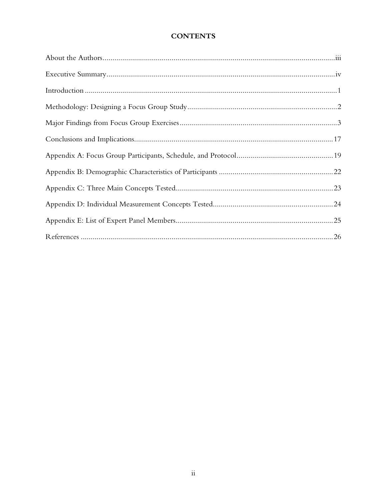## **CONTENTS**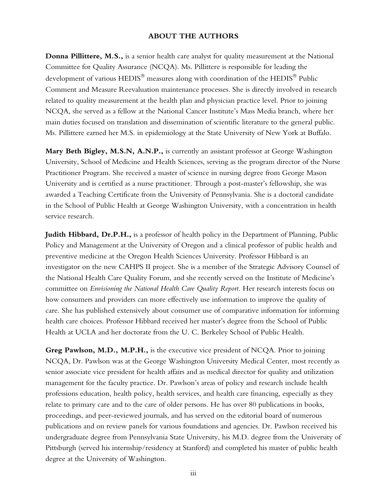### **ABOUT THE AUTHORS**

**Donna Pillittere, M.S.,** is a senior health care analyst for quality measurement at the National Committee for Quality Assurance (NCQA). Ms. Pillittere is responsible for leading the development of various HEDIS<sup>®</sup> measures along with coordination of the HEDIS<sup>®</sup> Public Comment and Measure Reevaluation maintenance processes. She is directly involved in research related to quality measurement at the health plan and physician practice level. Prior to joining NCQA, she served as a fellow at the National Cancer Institute's Mass Media branch, where her main duties focused on translation and dissemination of scientific literature to the general public. Ms. Pillittere earned her M.S. in epidemiology at the State University of New York at Buffalo.

**Mary Beth Bigley, M.S.N, A.N.P.,** is currently an assistant professor at George Washington University, School of Medicine and Health Sciences, serving as the program director of the Nurse Practitioner Program. She received a master of science in nursing degree from George Mason University and is certified as a nurse practitioner. Through a post-master's fellowship, she was awarded a Teaching Certificate from the University of Pennsylvania. She is a doctoral candidate in the School of Public Health at George Washington University, with a concentration in health service research.

**Judith Hibbard, Dr.P.H.,** is a professor of health policy in the Department of Planning, Public Policy and Management at the University of Oregon and a clinical professor of public health and preventive medicine at the Oregon Health Sciences University. Professor Hibbard is an investigator on the new CAHPS II project. She is a member of the Strategic Advisory Counsel of the National Health Care Quality Forum, and she recently served on the Institute of Medicine's committee on *Envisioning the National Health Care Quality Report.* Her research interests focus on how consumers and providers can more effectively use information to improve the quality of care. She has published extensively about consumer use of comparative information for informing health care choices. Professor Hibbard received her master's degree from the School of Public Health at UCLA and her doctorate from the U. C. Berkeley School of Public Health.

**Greg Pawlson, M.D., M.P.H.,** is the executive vice president of NCQA. Prior to joining NCQA, Dr. Pawlson was at the George Washington University Medical Center, most recently as senior associate vice president for health affairs and as medical director for quality and utilization management for the faculty practice. Dr. Pawlson's areas of policy and research include health professions education, health policy, health services, and health care financing, especially as they relate to primary care and to the care of older persons. He has over 80 publications in books, proceedings, and peer-reviewed journals, and has served on the editorial board of numerous publications and on review panels for various foundations and agencies. Dr. Pawlson received his undergraduate degree from Pennsylvania State University, his M.D. degree from the University of Pittsburgh (served his internship/residency at Stanford) and completed his master of public health degree at the University of Washington.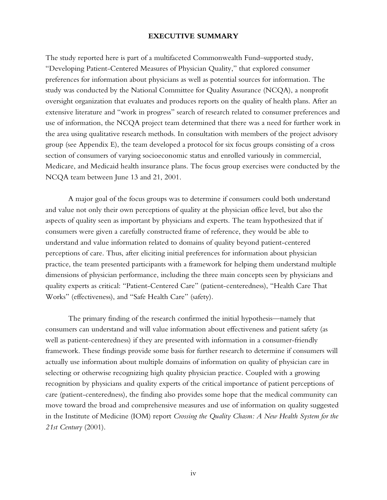#### **EXECUTIVE SUMMARY**

The study reported here is part of a multifaceted Commonwealth Fund–supported study, "Developing Patient-Centered Measures of Physician Quality," that explored consumer preferences for information about physicians as well as potential sources for information. The study was conducted by the National Committee for Quality Assurance (NCQA), a nonprofit oversight organization that evaluates and produces reports on the quality of health plans. After an extensive literature and "work in progress" search of research related to consumer preferences and use of information, the NCQA project team determined that there was a need for further work in the area using qualitative research methods. In consultation with members of the project advisory group (see Appendix E), the team developed a protocol for six focus groups consisting of a cross section of consumers of varying socioeconomic status and enrolled variously in commercial, Medicare, and Medicaid health insurance plans. The focus group exercises were conducted by the NCQA team between June 13 and 21, 2001.

A major goal of the focus groups was to determine if consumers could both understand and value not only their own perceptions of quality at the physician office level, but also the aspects of quality seen as important by physicians and experts. The team hypothesized that if consumers were given a carefully constructed frame of reference, they would be able to understand and value information related to domains of quality beyond patient-centered perceptions of care. Thus, after eliciting initial preferences for information about physician practice, the team presented participants with a framework for helping them understand multiple dimensions of physician performance, including the three main concepts seen by physicians and quality experts as critical: "Patient-Centered Care" (patient-centeredness), "Health Care That Works" (effectiveness), and "Safe Health Care" (safety).

The primary finding of the research confirmed the initial hypothesis—namely that consumers can understand and will value information about effectiveness and patient safety (as well as patient-centeredness) if they are presented with information in a consumer-friendly framework. These findings provide some basis for further research to determine if consumers will actually use information about multiple domains of information on quality of physician care in selecting or otherwise recognizing high quality physician practice. Coupled with a growing recognition by physicians and quality experts of the critical importance of patient perceptions of care (patient-centeredness), the finding also provides some hope that the medical community can move toward the broad and comprehensive measures and use of information on quality suggested in the Institute of Medicine (IOM) report *Crossing the Quality Chasm: A New Health System for the 21st Century* (2001).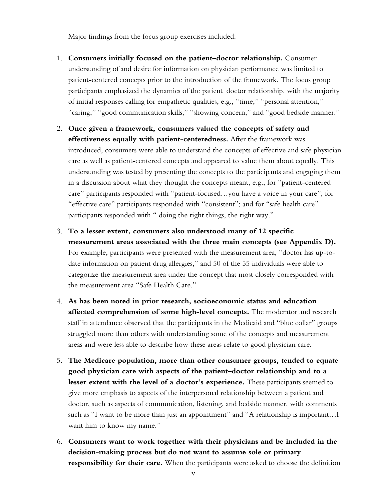Major findings from the focus group exercises included:

- 1. **Consumers initially focused on the patient–doctor relationship.** Consumer understanding of and desire for information on physician performance was limited to patient-centered concepts prior to the introduction of the framework. The focus group participants emphasized the dynamics of the patient–doctor relationship, with the majority of initial responses calling for empathetic qualities, e.g., "time," "personal attention," "caring," "good communication skills," "showing concern," and "good bedside manner."
- 2. **Once given a framework, consumers valued the concepts of safety and effectiveness equally with patient-centeredness.** After the framework was introduced, consumers were able to understand the concepts of effective and safe physician care as well as patient-centered concepts and appeared to value them about equally. This understanding was tested by presenting the concepts to the participants and engaging them in a discussion about what they thought the concepts meant, e.g., for "patient-centered care" participants responded with "patient-focused…you have a voice in your care"; for "effective care" participants responded with "consistent"; and for "safe health care" participants responded with " doing the right things, the right way."
- 3. **To a lesser extent, consumers also understood many of 12 specific measurement areas associated with the three main concepts (see Appendix D).** For example, participants were presented with the measurement area, "doctor has up-todate information on patient drug allergies," and 50 of the 55 individuals were able to categorize the measurement area under the concept that most closely corresponded with the measurement area "Safe Health Care."
- 4. **As has been noted in prior research, socioeconomic status and education affected comprehension of some high-level concepts.** The moderator and research staff in attendance observed that the participants in the Medicaid and "blue collar" groups struggled more than others with understanding some of the concepts and measurement areas and were less able to describe how these areas relate to good physician care.
- 5. **The Medicare population, more than other consumer groups, tended to equate good physician care with aspects of the patient–doctor relationship and to a lesser extent with the level of a doctor's experience.** These participants seemed to give more emphasis to aspects of the interpersonal relationship between a patient and doctor, such as aspects of communication, listening, and bedside manner, with comments such as "I want to be more than just an appointment" and "A relationship is important…I want him to know my name."
- 6. **Consumers want to work together with their physicians and be included in the decision-making process but do not want to assume sole or primary responsibility for their care.** When the participants were asked to choose the definition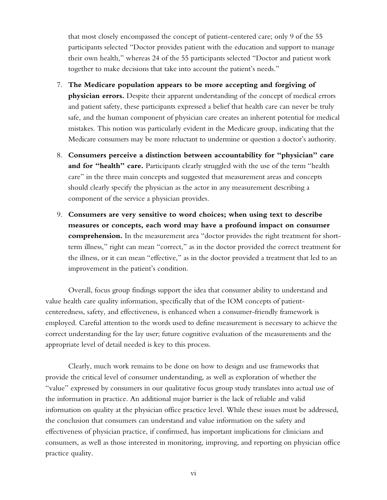that most closely encompassed the concept of patient-centered care; only 9 of the 55 participants selected "Doctor provides patient with the education and support to manage their own health," whereas 24 of the 55 participants selected "Doctor and patient work together to make decisions that take into account the patient's needs."

- 7. **The Medicare population appears to be more accepting and forgiving of physician errors.** Despite their apparent understanding of the concept of medical errors and patient safety, these participants expressed a belief that health care can never be truly safe, and the human component of physician care creates an inherent potential for medical mistakes. This notion was particularly evident in the Medicare group, indicating that the Medicare consumers may be more reluctant to undermine or question a doctor's authority.
- 8. **Consumers perceive a distinction between accountability for "physician" care**  and for "health" care. Participants clearly struggled with the use of the term "health care" in the three main concepts and suggested that measurement areas and concepts should clearly specify the physician as the actor in any measurement describing a component of the service a physician provides.
- 9. **Consumers are very sensitive to word choices; when using text to describe measures or concepts, each word may have a profound impact on consumer comprehension.** In the measurement area "doctor provides the right treatment for shortterm illness," right can mean "correct," as in the doctor provided the correct treatment for the illness, or it can mean "effective," as in the doctor provided a treatment that led to an improvement in the patient's condition.

Overall, focus group findings support the idea that consumer ability to understand and value health care quality information, specifically that of the IOM concepts of patientcenteredness, safety, and effectiveness, is enhanced when a consumer-friendly framework is employed. Careful attention to the words used to define measurement is necessary to achieve the correct understanding for the lay user; future cognitive evaluation of the measurements and the appropriate level of detail needed is key to this process.

Clearly, much work remains to be done on how to design and use frameworks that provide the critical level of consumer understanding, as well as exploration of whether the "value" expressed by consumers in our qualitative focus group study translates into actual use of the information in practice. An additional major barrier is the lack of reliable and valid information on quality at the physician office practice level. While these issues must be addressed, the conclusion that consumers can understand and value information on the safety and effectiveness of physician practice, if confirmed, has important implications for clinicians and consumers, as well as those interested in monitoring, improving, and reporting on physician office practice quality.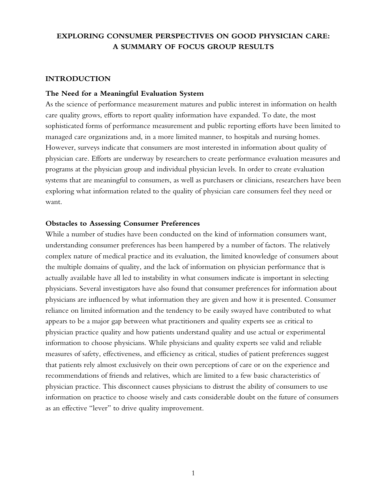## **EXPLORING CONSUMER PERSPECTIVES ON GOOD PHYSICIAN CARE: A SUMMARY OF FOCUS GROUP RESULTS**

### **INTRODUCTION**

### **The Need for a Meaningful Evaluation System**

As the science of performance measurement matures and public interest in information on health care quality grows, efforts to report quality information have expanded. To date, the most sophisticated forms of performance measurement and public reporting efforts have been limited to managed care organizations and, in a more limited manner, to hospitals and nursing homes. However, surveys indicate that consumers are most interested in information about quality of physician care. Efforts are underway by researchers to create performance evaluation measures and programs at the physician group and individual physician levels. In order to create evaluation systems that are meaningful to consumers, as well as purchasers or clinicians, researchers have been exploring what information related to the quality of physician care consumers feel they need or want.

#### **Obstacles to Assessing Consumer Preferences**

While a number of studies have been conducted on the kind of information consumers want, understanding consumer preferences has been hampered by a number of factors. The relatively complex nature of medical practice and its evaluation, the limited knowledge of consumers about the multiple domains of quality, and the lack of information on physician performance that is actually available have all led to instability in what consumers indicate is important in selecting physicians. Several investigators have also found that consumer preferences for information about physicians are influenced by what information they are given and how it is presented. Consumer reliance on limited information and the tendency to be easily swayed have contributed to what appears to be a major gap between what practitioners and quality experts see as critical to physician practice quality and how patients understand quality and use actual or experimental information to choose physicians. While physicians and quality experts see valid and reliable measures of safety, effectiveness, and efficiency as critical, studies of patient preferences suggest that patients rely almost exclusively on their own perceptions of care or on the experience and recommendations of friends and relatives, which are limited to a few basic characteristics of physician practice. This disconnect causes physicians to distrust the ability of consumers to use information on practice to choose wisely and casts considerable doubt on the future of consumers as an effective "lever" to drive quality improvement.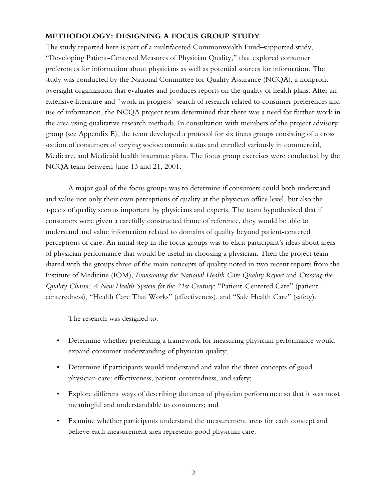### **METHODOLOGY: DESIGNING A FOCUS GROUP STUDY**

The study reported here is part of a multifaceted Commonwealth Fund–supported study, "Developing Patient-Centered Measures of Physician Quality," that explored consumer preferences for information about physicians as well as potential sources for information. The study was conducted by the National Committee for Quality Assurance (NCQA), a nonprofit oversight organization that evaluates and produces reports on the quality of health plans. After an extensive literature and "work in progress" search of research related to consumer preferences and use of information, the NCQA project team determined that there was a need for further work in the area using qualitative research methods. In consultation with members of the project advisory group (see Appendix E), the team developed a protocol for six focus groups consisting of a cross section of consumers of varying socioeconomic status and enrolled variously in commercial, Medicare, and Medicaid health insurance plans. The focus group exercises were conducted by the NCQA team between June 13 and 21, 2001.

A major goal of the focus groups was to determine if consumers could both understand and value not only their own perceptions of quality at the physician office level, but also the aspects of quality seen as important by physicians and experts. The team hypothesized that if consumers were given a carefully constructed frame of reference, they would be able to understand and value information related to domains of quality beyond patient-centered perceptions of care. An initial step in the focus groups was to elicit participant's ideas about areas of physician performance that would be useful in choosing a physician. Then the project team shared with the groups three of the main concepts of quality noted in two recent reports from the Institute of Medicine (IOM), *Envisioning the National Health Care Quality Report* and *Crossing the Quality Chasm: A New Health System for the 21st Century*: "Patient-Centered Care" (patientcenteredness), "Health Care That Works" (effectiveness), and "Safe Health Care" (safety).

The research was designed to:

- Determine whether presenting a framework for measuring physician performance would expand consumer understanding of physician quality;
- Determine if participants would understand and value the three concepts of good physician care: effectiveness, patient-centeredness, and safety;
- Explore different ways of describing the areas of physician performance so that it was most meaningful and understandable to consumers; and
- Examine whether participants understand the measurement areas for each concept and believe each measurement area represents good physician care.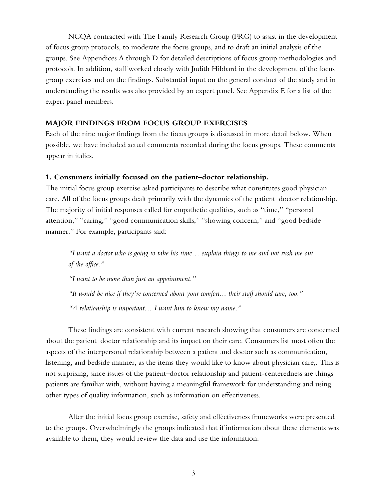NCQA contracted with The Family Research Group (FRG) to assist in the development of focus group protocols, to moderate the focus groups, and to draft an initial analysis of the groups. See Appendices A through D for detailed descriptions of focus group methodologies and protocols. In addition, staff worked closely with Judith Hibbard in the development of the focus group exercises and on the findings. Substantial input on the general conduct of the study and in understanding the results was also provided by an expert panel. See Appendix E for a list of the expert panel members.

### **MAJOR FINDINGS FROM FOCUS GROUP EXERCISES**

Each of the nine major findings from the focus groups is discussed in more detail below. When possible, we have included actual comments recorded during the focus groups. These comments appear in italics.

### **1. Consumers initially focused on the patient–doctor relationship.**

The initial focus group exercise asked participants to describe what constitutes good physician care. All of the focus groups dealt primarily with the dynamics of the patient–doctor relationship. The majority of initial responses called for empathetic qualities, such as "time," "personal attention," "caring," "good communication skills," "showing concern," and "good bedside manner." For example, participants said:

*"I want a doctor who is going to take his time… explain things to me and not rush me out of the office."* 

*"I want to be more than just an appointment."* 

*"It would be nice if they're concerned about your comfort... their staff should care, too."* 

*"A relationship is important… I want him to know my name."* 

These findings are consistent with current research showing that consumers are concerned about the patient–doctor relationship and its impact on their care. Consumers list most often the aspects of the interpersonal relationship between a patient and doctor such as communication, listening, and bedside manner, as the items they would like to know about physician care,. This is not surprising, since issues of the patient–doctor relationship and patient-centeredness are things patients are familiar with, without having a meaningful framework for understanding and using other types of quality information, such as information on effectiveness.

After the initial focus group exercise, safety and effectiveness frameworks were presented to the groups. Overwhelmingly the groups indicated that if information about these elements was available to them, they would review the data and use the information.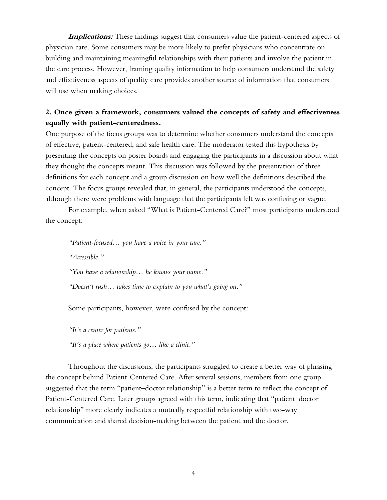**Implications:** These findings suggest that consumers value the patient-centered aspects of physician care. Some consumers may be more likely to prefer physicians who concentrate on building and maintaining meaningful relationships with their patients and involve the patient in the care process. However, framing quality information to help consumers understand the safety and effectiveness aspects of quality care provides another source of information that consumers will use when making choices.

## **2. Once given a framework, consumers valued the concepts of safety and effectiveness equally with patient-centeredness.**

One purpose of the focus groups was to determine whether consumers understand the concepts of effective, patient-centered, and safe health care. The moderator tested this hypothesis by presenting the concepts on poster boards and engaging the participants in a discussion about what they thought the concepts meant. This discussion was followed by the presentation of three definitions for each concept and a group discussion on how well the definitions described the concept. The focus groups revealed that, in general, the participants understood the concepts, although there were problems with language that the participants felt was confusing or vague.

For example, when asked "What is Patient-Centered Care?" most participants understood the concept:

*"Patient-focused… you have a voice in your care." "Accessible." "You have a relationship… he knows your name." "Doesn't rush… takes time to explain to you what's going on."* 

Some participants, however, were confused by the concept:

*"It's a center for patients." "It's a place where patients go… like a clinic."* 

Throughout the discussions, the participants struggled to create a better way of phrasing the concept behind Patient-Centered Care. After several sessions, members from one group suggested that the term "patient–doctor relationship" is a better term to reflect the concept of Patient-Centered Care. Later groups agreed with this term, indicating that "patient–doctor relationship" more clearly indicates a mutually respectful relationship with two-way communication and shared decision-making between the patient and the doctor.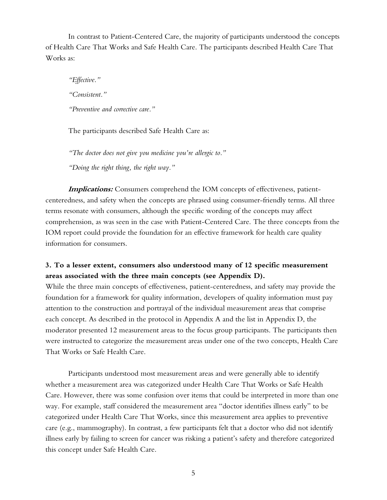In contrast to Patient-Centered Care, the majority of participants understood the concepts of Health Care That Works and Safe Health Care. The participants described Health Care That Works as:

*"Effective." "Consistent." "Preventive and corrective care."* 

The participants described Safe Health Care as:

*"The doctor does not give you medicine you're allergic to." "Doing the right thing, the right way."* 

**Implications:** Consumers comprehend the IOM concepts of effectiveness, patientcenteredness, and safety when the concepts are phrased using consumer-friendly terms. All three terms resonate with consumers, although the specific wording of the concepts may affect comprehension, as was seen in the case with Patient-Centered Care. The three concepts from the IOM report could provide the foundation for an effective framework for health care quality information for consumers.

## **3. To a lesser extent, consumers also understood many of 12 specific measurement areas associated with the three main concepts (see Appendix D).**

While the three main concepts of effectiveness, patient-centeredness, and safety may provide the foundation for a framework for quality information, developers of quality information must pay attention to the construction and portrayal of the individual measurement areas that comprise each concept. As described in the protocol in Appendix A and the list in Appendix D, the moderator presented 12 measurement areas to the focus group participants. The participants then were instructed to categorize the measurement areas under one of the two concepts, Health Care That Works or Safe Health Care.

Participants understood most measurement areas and were generally able to identify whether a measurement area was categorized under Health Care That Works or Safe Health Care. However, there was some confusion over items that could be interpreted in more than one way. For example, staff considered the measurement area "doctor identifies illness early" to be categorized under Health Care That Works, since this measurement area applies to preventive care (e.g., mammography). In contrast, a few participants felt that a doctor who did not identify illness early by failing to screen for cancer was risking a patient's safety and therefore categorized this concept under Safe Health Care.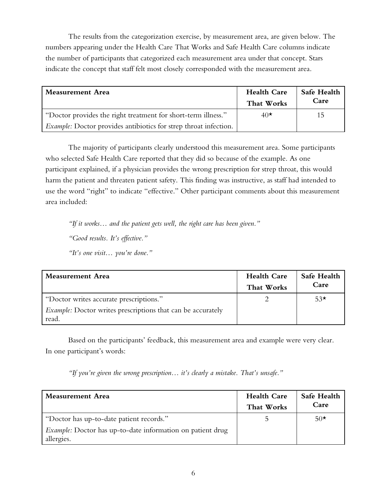The results from the categorization exercise, by measurement area, are given below. The numbers appearing under the Health Care That Works and Safe Health Care columns indicate the number of participants that categorized each measurement area under that concept. Stars indicate the concept that staff felt most closely corresponded with the measurement area.

| Measurement Area                                                 | <b>Health Care</b><br>That Works | Safe Health<br>Care |
|------------------------------------------------------------------|----------------------------------|---------------------|
| "Doctor provides the right treatment for short-term illness."    | $40\star$                        | 15                  |
| Example: Doctor provides antibiotics for strep throat infection. |                                  |                     |

The majority of participants clearly understood this measurement area. Some participants who selected Safe Health Care reported that they did so because of the example. As one participant explained, if a physician provides the wrong prescription for strep throat, this would harm the patient and threaten patient safety. This finding was instructive, as staff had intended to use the word "right" to indicate "effective." Other participant comments about this measurement area included:

*"If it works… and the patient gets well, the right care has been given."* 

*"Good results. It's effective."* 

*"It's one visit… you're done."* 

| <b>Measurement Area</b>                                                     | <b>Health Care</b><br>That Works | Safe Health<br>Care |
|-----------------------------------------------------------------------------|----------------------------------|---------------------|
| "Doctor writes accurate prescriptions."                                     |                                  | $53\star$           |
| <i>Example:</i> Doctor writes prescriptions that can be accurately<br>read. |                                  |                     |

Based on the participants' feedback, this measurement area and example were very clear. In one participant's words:

*"If you're given the wrong prescription… it's clearly a mistake. That's unsafe."* 

| Measurement Area                                                                | <b>Health Care</b><br>That Works | Safe Health<br>Care |
|---------------------------------------------------------------------------------|----------------------------------|---------------------|
| "Doctor has up-to-date patient records."                                        |                                  | $50*$               |
| <i>Example:</i> Doctor has up-to-date information on patient drug<br>allergies. |                                  |                     |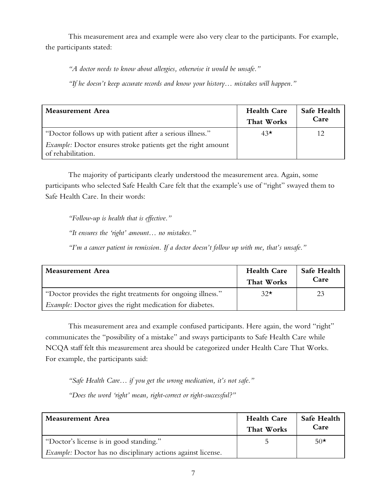This measurement area and example were also very clear to the participants. For example, the participants stated:

*"A doctor needs to know about allergies, otherwise it would be unsafe."* 

*"If he doesn't keep accurate records and know your history… mistakes will happen."* 

| Measurement Area                                                                          | <b>Health Care</b><br>That Works | Safe Health<br>Care |
|-------------------------------------------------------------------------------------------|----------------------------------|---------------------|
| "Doctor follows up with patient after a serious illness."                                 | $43\star$                        |                     |
| <i>Example:</i> Doctor ensures stroke patients get the right amount<br>of rehabilitation. |                                  |                     |

The majority of participants clearly understood the measurement area. Again, some participants who selected Safe Health Care felt that the example's use of "right" swayed them to Safe Health Care. In their words:

*"Follow-up is health that is effective."* 

*"It ensures the 'right' amount… no mistakes."* 

*"I'm a cancer patient in remission. If a doctor doesn't follow up with me, that's unsafe."* 

| Measurement Area                                                | <b>Health Care</b><br>That Works | Safe Health<br>Care |
|-----------------------------------------------------------------|----------------------------------|---------------------|
| "Doctor provides the right treatments for ongoing illness."     | $32\star$                        | 23                  |
| <i>Example:</i> Doctor gives the right medication for diabetes. |                                  |                     |

This measurement area and example confused participants. Here again, the word "right" communicates the "possibility of a mistake" and sways participants to Safe Health Care while NCQA staff felt this measurement area should be categorized under Health Care That Works. For example, the participants said:

*"Safe Health Care… if you get the wrong medication, it's not safe."* 

*"Does the word 'right' mean, right-correct or right-successful?"* 

| <b>Measurement Area</b>                                             | <b>Health Care</b><br>That Works | Safe Health<br>Care |
|---------------------------------------------------------------------|----------------------------------|---------------------|
| "Doctor's license is in good standing."                             |                                  | $50*$               |
| <i>Example:</i> Doctor has no disciplinary actions against license. |                                  |                     |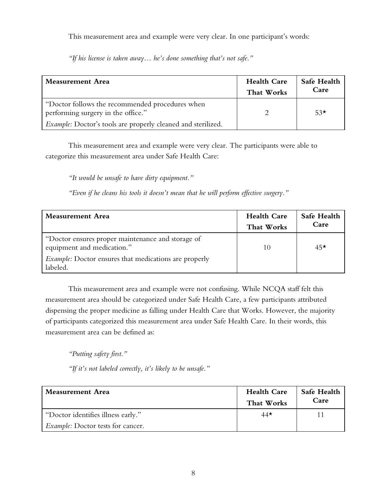This measurement area and example were very clear. In one participant's words:

| Measurement Area                                                                      | <b>Health Care</b><br>That Works | Safe Health<br>Care |
|---------------------------------------------------------------------------------------|----------------------------------|---------------------|
| "Doctor follows the recommended procedures when<br>performing surgery in the office." |                                  | $53\star$           |

*"If his license is taken away… he's done something that's not safe."* 

This measurement area and example were very clear. The participants were able to categorize this measurement area under Safe Health Care:

*"It would be unsafe to have dirty equipment."* 

*Example:* Doctor's tools are properly cleaned and sterilized.

*"Even if he cleans his tools it doesn't mean that he will perform effective surgery."* 

| <b>Measurement Area</b>                                                         | <b>Health Care</b><br>That Works | Safe Health<br>Care |
|---------------------------------------------------------------------------------|----------------------------------|---------------------|
| "Doctor ensures proper maintenance and storage of<br>equipment and medication." |                                  | $45\star$           |
| <i>Example:</i> Doctor ensures that medications are properly<br>labeled.        |                                  |                     |

This measurement area and example were not confusing. While NCQA staff felt this measurement area should be categorized under Safe Health Care, a few participants attributed dispensing the proper medicine as falling under Health Care that Works. However, the majority of participants categorized this measurement area under Safe Health Care. In their words, this measurement area can be defined as:

*"Putting safety first."* 

*"If it's not labeled correctly, it's likely to be unsafe."* 

| Measurement Area                         | <b>Health Care</b><br>That Works | Safe Health<br>Care |
|------------------------------------------|----------------------------------|---------------------|
| "Doctor identifies illness early."       | $44\star$                        |                     |
| <i>Example:</i> Doctor tests for cancer. |                                  |                     |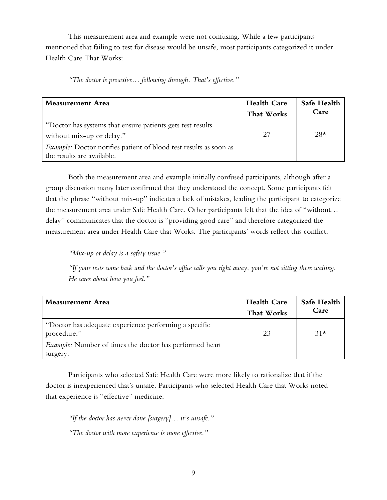This measurement area and example were not confusing. While a few participants mentioned that failing to test for disease would be unsafe, most participants categorized it under Health Care That Works:

*"The doctor is proactive… following through. That's effective."* 

| <b>Measurement Area</b>                                                                         | <b>Health Care</b><br>That Works | Safe Health<br>Care |
|-------------------------------------------------------------------------------------------------|----------------------------------|---------------------|
| "Doctor has systems that ensure patients gets test results<br>without mix-up or delay."         | 27                               | $28*$               |
| Example: Doctor notifies patient of blood test results as soon as<br>the results are available. |                                  |                     |

Both the measurement area and example initially confused participants, although after a group discussion many later confirmed that they understood the concept. Some participants felt that the phrase "without mix-up" indicates a lack of mistakes, leading the participant to categorize the measurement area under Safe Health Care. Other participants felt that the idea of "without… delay" communicates that the doctor is "providing good care" and therefore categorized the measurement area under Health Care that Works. The participants' words reflect this conflict:

*"Mix-up or delay is a safety issue."* 

*"If your tests come back and the doctor's office calls you right away, you're not sitting there waiting. He cares about how you feel."* 

| <b>Measurement Area</b>                                              | <b>Health Care</b><br>That Works | Safe Health<br>Care |
|----------------------------------------------------------------------|----------------------------------|---------------------|
| "Doctor has adequate experience performing a specific<br>procedure." | 23                               | $31\star$           |
| <i>Example:</i> Number of times the doctor has performed heart       |                                  |                     |
| surgery.                                                             |                                  |                     |

Participants who selected Safe Health Care were more likely to rationalize that if the doctor is inexperienced that's unsafe. Participants who selected Health Care that Works noted that experience is "effective" medicine:

*"If the doctor has never done [surgery]… it's unsafe." "The doctor with more experience is more effective."*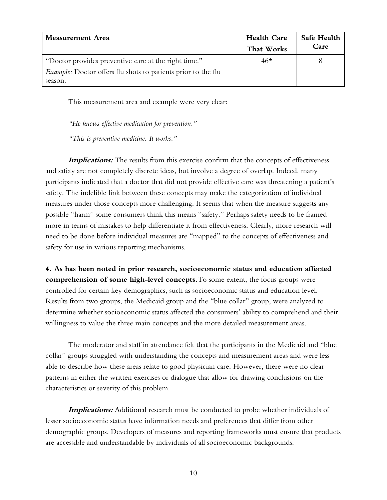| Measurement Area                                                     | <b>Health Care</b> | Safe Health |
|----------------------------------------------------------------------|--------------------|-------------|
|                                                                      | That Works         | Care        |
| "Doctor provides preventive care at the right time."                 | $46*$              |             |
| <i>Example:</i> Doctor offers flu shots to patients prior to the flu |                    |             |
| season.                                                              |                    |             |

This measurement area and example were very clear:

*"He knows effective medication for prevention."* 

*"This is preventive medicine. It works."* 

**Implications:** The results from this exercise confirm that the concepts of effectiveness and safety are not completely discrete ideas, but involve a degree of overlap. Indeed, many participants indicated that a doctor that did not provide effective care was threatening a patient's safety. The indelible link between these concepts may make the categorization of individual measures under those concepts more challenging. It seems that when the measure suggests any possible "harm" some consumers think this means "safety." Perhaps safety needs to be framed more in terms of mistakes to help differentiate it from effectiveness. Clearly, more research will need to be done before individual measures are "mapped" to the concepts of effectiveness and safety for use in various reporting mechanisms.

**4. As has been noted in prior research, socioeconomic status and education affected comprehension of some high-level concepts.**To some extent, the focus groups were controlled for certain key demographics, such as socioeconomic status and education level. Results from two groups, the Medicaid group and the "blue collar" group, were analyzed to determine whether socioeconomic status affected the consumers' ability to comprehend and their willingness to value the three main concepts and the more detailed measurement areas.

The moderator and staff in attendance felt that the participants in the Medicaid and "blue collar" groups struggled with understanding the concepts and measurement areas and were less able to describe how these areas relate to good physician care. However, there were no clear patterns in either the written exercises or dialogue that allow for drawing conclusions on the characteristics or severity of this problem.

**Implications:** Additional research must be conducted to probe whether individuals of lesser socioeconomic status have information needs and preferences that differ from other demographic groups. Developers of measures and reporting frameworks must ensure that products are accessible and understandable by individuals of all socioeconomic backgrounds.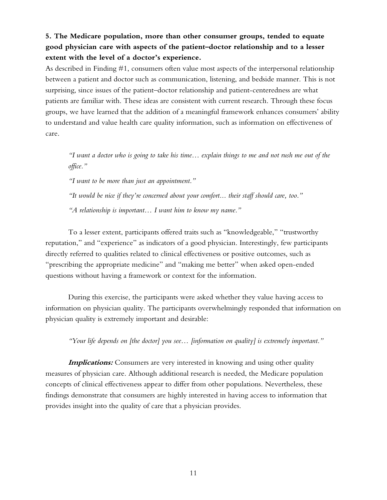## **5. The Medicare population, more than other consumer groups, tended to equate good physician care with aspects of the patient–doctor relationship and to a lesser extent with the level of a doctor's experience.**

As described in Finding #1, consumers often value most aspects of the interpersonal relationship between a patient and doctor such as communication, listening, and bedside manner. This is not surprising, since issues of the patient–doctor relationship and patient-centeredness are what patients are familiar with. These ideas are consistent with current research. Through these focus groups, we have learned that the addition of a meaningful framework enhances consumers' ability to understand and value health care quality information, such as information on effectiveness of care.

*"I want a doctor who is going to take his time… explain things to me and not rush me out of the office."* 

*"I want to be more than just an appointment."* 

*"It would be nice if they're concerned about your comfort... their staff should care, too." "A relationship is important… I want him to know my name."* 

To a lesser extent, participants offered traits such as "knowledgeable," "trustworthy reputation," and "experience" as indicators of a good physician. Interestingly, few participants directly referred to qualities related to clinical effectiveness or positive outcomes, such as "prescribing the appropriate medicine" and "making me better" when asked open-ended questions without having a framework or context for the information.

During this exercise, the participants were asked whether they value having access to information on physician quality. The participants overwhelmingly responded that information on physician quality is extremely important and desirable:

*"Your life depends on [the doctor] you see… [information on quality] is extremely important."* 

**Implications:** Consumers are very interested in knowing and using other quality measures of physician care. Although additional research is needed, the Medicare population concepts of clinical effectiveness appear to differ from other populations. Nevertheless, these findings demonstrate that consumers are highly interested in having access to information that provides insight into the quality of care that a physician provides.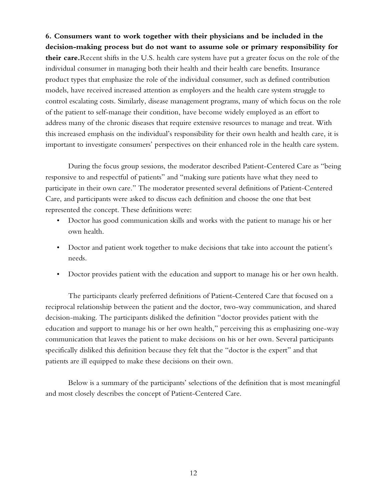**6. Consumers want to work together with their physicians and be included in the decision-making process but do not want to assume sole or primary responsibility for their care.**Recent shifts in the U.S. health care system have put a greater focus on the role of the individual consumer in managing both their health and their health care benefits. Insurance product types that emphasize the role of the individual consumer, such as defined contribution models, have received increased attention as employers and the health care system struggle to control escalating costs. Similarly, disease management programs, many of which focus on the role of the patient to self-manage their condition, have become widely employed as an effort to address many of the chronic diseases that require extensive resources to manage and treat. With this increased emphasis on the individual's responsibility for their own health and health care, it is important to investigate consumers' perspectives on their enhanced role in the health care system.

During the focus group sessions, the moderator described Patient-Centered Care as "being responsive to and respectful of patients" and "making sure patients have what they need to participate in their own care." The moderator presented several definitions of Patient-Centered Care, and participants were asked to discuss each definition and choose the one that best represented the concept. These definitions were:

- Doctor has good communication skills and works with the patient to manage his or her own health.
- Doctor and patient work together to make decisions that take into account the patient's needs.
- Doctor provides patient with the education and support to manage his or her own health.

The participants clearly preferred definitions of Patient-Centered Care that focused on a reciprocal relationship between the patient and the doctor, two-way communication, and shared decision-making. The participants disliked the definition "doctor provides patient with the education and support to manage his or her own health," perceiving this as emphasizing one-way communication that leaves the patient to make decisions on his or her own. Several participants specifically disliked this definition because they felt that the "doctor is the expert" and that patients are ill equipped to make these decisions on their own.

Below is a summary of the participants' selections of the definition that is most meaningful and most closely describes the concept of Patient-Centered Care.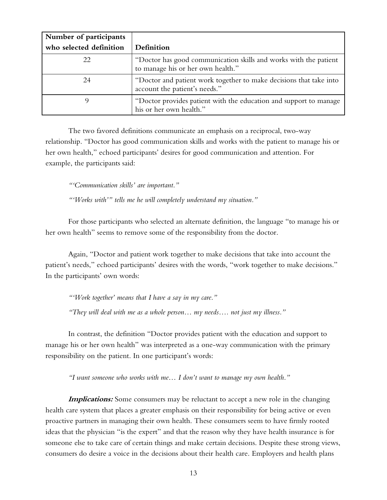| Number of participants  |                                                                                                       |
|-------------------------|-------------------------------------------------------------------------------------------------------|
| who selected definition | Definition                                                                                            |
| 22                      | "Doctor has good communication skills and works with the patient<br>to manage his or her own health." |
| 24                      | "Doctor and patient work together to make decisions that take into<br>account the patient's needs."   |
|                         | "Doctor provides patient with the education and support to manage<br>his or her own health."          |

The two favored definitions communicate an emphasis on a reciprocal, two-way relationship. "Doctor has good communication skills and works with the patient to manage his or her own health," echoed participants' desires for good communication and attention. For example, the participants said:

*"'Communication skills' are important."* 

*"'Works with'" tells me he will completely understand my situation."* 

For those participants who selected an alternate definition, the language "to manage his or her own health" seems to remove some of the responsibility from the doctor.

Again, "Doctor and patient work together to make decisions that take into account the patient's needs," echoed participants' desires with the words, "work together to make decisions." In the participants' own words:

*"'Work together' means that I have a say in my care." "They will deal with me as a whole person… my needs…. not just my illness."* 

In contrast, the definition "Doctor provides patient with the education and support to manage his or her own health" was interpreted as a one-way communication with the primary responsibility on the patient. In one participant's words:

*"I want someone who works with me… I don't want to manage my own health."* 

**Implications:** Some consumers may be reluctant to accept a new role in the changing health care system that places a greater emphasis on their responsibility for being active or even proactive partners in managing their own health. These consumers seem to have firmly rooted ideas that the physician "is the expert" and that the reason why they have health insurance is for someone else to take care of certain things and make certain decisions. Despite these strong views, consumers do desire a voice in the decisions about their health care. Employers and health plans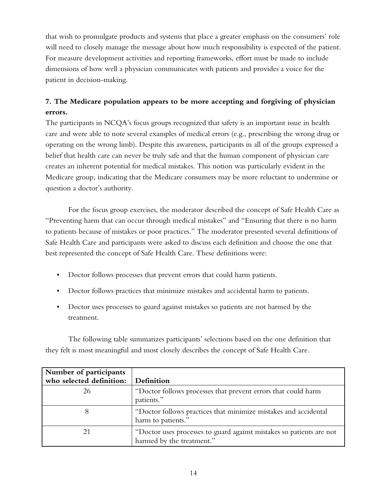that wish to promulgate products and systems that place a greater emphasis on the consumers' role will need to closely manage the message about how much responsibility is expected of the patient. For measure development activities and reporting frameworks, effort must be made to include dimensions of how well a physician communicates with patients and provides a voice for the patient in decision-making.

## **7. The Medicare population appears to be more accepting and forgiving of physician errors.**

The participants in NCQA's focus groups recognized that safety is an important issue in health care and were able to note several examples of medical errors (e.g., prescribing the wrong drug or operating on the wrong limb). Despite this awareness, participants in all of the groups expressed a belief that health care can never be truly safe and that the human component of physician care creates an inherent potential for medical mistakes. This notion was particularly evident in the Medicare group, indicating that the Medicare consumers may be more reluctant to undermine or question a doctor's authority.

For the focus group exercises, the moderator described the concept of Safe Health Care as "Preventing harm that can occur through medical mistakes" and "Ensuring that there is no harm to patients because of mistakes or poor practices." The moderator presented several definitions of Safe Health Care and participants were asked to discuss each definition and choose the one that best represented the concept of Safe Health Care. These definitions were:

- Doctor follows processes that prevent errors that could harm patients.
- Doctor follows practices that minimize mistakes and accidental harm to patients.
- Doctor uses processes to guard against mistakes so patients are not harmed by the treatment.

The following table summarizes participants' selections based on the one definition that they felt is most meaningful and most closely describes the concept of Safe Health Care.

| Number of participants   |                                                                                                   |
|--------------------------|---------------------------------------------------------------------------------------------------|
| who selected definition: | Definition                                                                                        |
| 26                       | "Doctor follows processes that prevent errors that could harm<br>patients."                       |
| 8                        | "Doctor follows practices that minimize mistakes and accidental<br>harm to patients."             |
| 21                       | "Doctor uses processes to guard against mistakes so patients are not<br>harmed by the treatment." |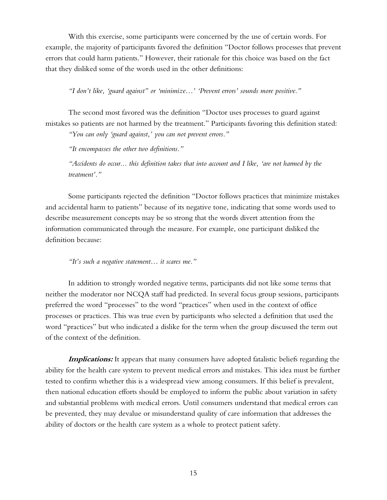With this exercise, some participants were concerned by the use of certain words. For example, the majority of participants favored the definition "Doctor follows processes that prevent errors that could harm patients." However, their rationale for this choice was based on the fact that they disliked some of the words used in the other definitions:

*"I don't like, 'guard against" or 'minimize…' 'Prevent errors' sounds more positive."* 

The second most favored was the definition "Doctor uses processes to guard against mistakes so patients are not harmed by the treatment." Participants favoring this definition stated:

*"You can only 'guard against,' you can not prevent errors."* 

*"It encompasses the other two definitions."* 

*"Accidents do occur... this definition takes that into account and I like, 'are not harmed by the treatment'."* 

Some participants rejected the definition "Doctor follows practices that minimize mistakes and accidental harm to patients" because of its negative tone, indicating that some words used to describe measurement concepts may be so strong that the words divert attention from the information communicated through the measure. For example, one participant disliked the definition because:

*"It's such a negative statement… it scares me."* 

In addition to strongly worded negative terms, participants did not like some terms that neither the moderator nor NCQA staff had predicted. In several focus group sessions, participants preferred the word "processes" to the word "practices" when used in the context of office processes or practices. This was true even by participants who selected a definition that used the word "practices" but who indicated a dislike for the term when the group discussed the term out of the context of the definition.

**Implications:** It appears that many consumers have adopted fatalistic beliefs regarding the ability for the health care system to prevent medical errors and mistakes. This idea must be further tested to confirm whether this is a widespread view among consumers. If this belief is prevalent, then national education efforts should be employed to inform the public about variation in safety and substantial problems with medical errors. Until consumers understand that medical errors can be prevented, they may devalue or misunderstand quality of care information that addresses the ability of doctors or the health care system as a whole to protect patient safety.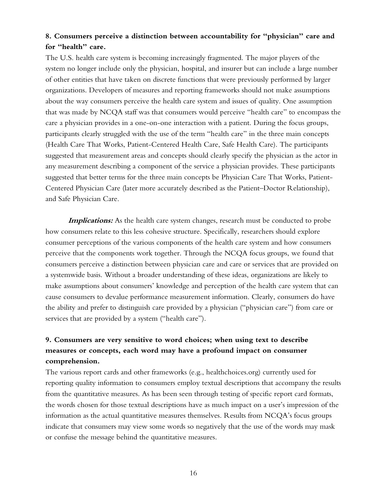## **8. Consumers perceive a distinction between accountability for "physician" care and for "health" care.**

The U.S. health care system is becoming increasingly fragmented. The major players of the system no longer include only the physician, hospital, and insurer but can include a large number of other entities that have taken on discrete functions that were previously performed by larger organizations. Developers of measures and reporting frameworks should not make assumptions about the way consumers perceive the health care system and issues of quality. One assumption that was made by NCQA staff was that consumers would perceive "health care" to encompass the care a physician provides in a one-on-one interaction with a patient. During the focus groups, participants clearly struggled with the use of the term "health care" in the three main concepts (Health Care That Works, Patient-Centered Health Care, Safe Health Care). The participants suggested that measurement areas and concepts should clearly specify the physician as the actor in any measurement describing a component of the service a physician provides. These participants suggested that better terms for the three main concepts be Physician Care That Works, Patient-Centered Physician Care (later more accurately described as the Patient–Doctor Relationship), and Safe Physician Care.

**Implications:** As the health care system changes, research must be conducted to probe how consumers relate to this less cohesive structure. Specifically, researchers should explore consumer perceptions of the various components of the health care system and how consumers perceive that the components work together. Through the NCQA focus groups, we found that consumers perceive a distinction between physician care and care or services that are provided on a systemwide basis. Without a broader understanding of these ideas, organizations are likely to make assumptions about consumers' knowledge and perception of the health care system that can cause consumers to devalue performance measurement information. Clearly, consumers do have the ability and prefer to distinguish care provided by a physician ("physician care") from care or services that are provided by a system ("health care").

## **9. Consumers are very sensitive to word choices; when using text to describe measures or concepts, each word may have a profound impact on consumer comprehension.**

The various report cards and other frameworks (e.g., healthchoices.org) currently used for reporting quality information to consumers employ textual descriptions that accompany the results from the quantitative measures. As has been seen through testing of specific report card formats, the words chosen for those textual descriptions have as much impact on a user's impression of the information as the actual quantitative measures themselves. Results from NCQA's focus groups indicate that consumers may view some words so negatively that the use of the words may mask or confuse the message behind the quantitative measures.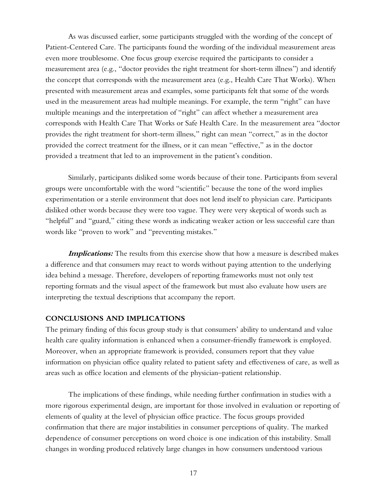As was discussed earlier, some participants struggled with the wording of the concept of Patient-Centered Care. The participants found the wording of the individual measurement areas even more troublesome. One focus group exercise required the participants to consider a measurement area (e.g., "doctor provides the right treatment for short-term illness") and identify the concept that corresponds with the measurement area (e.g., Health Care That Works). When presented with measurement areas and examples, some participants felt that some of the words used in the measurement areas had multiple meanings. For example, the term "right" can have multiple meanings and the interpretation of "right" can affect whether a measurement area corresponds with Health Care That Works or Safe Health Care. In the measurement area "doctor provides the right treatment for short-term illness," right can mean "correct," as in the doctor provided the correct treatment for the illness, or it can mean "effective," as in the doctor provided a treatment that led to an improvement in the patient's condition.

Similarly, participants disliked some words because of their tone. Participants from several groups were uncomfortable with the word "scientific" because the tone of the word implies experimentation or a sterile environment that does not lend itself to physician care. Participants disliked other words because they were too vague. They were very skeptical of words such as "helpful" and "guard," citing these words as indicating weaker action or less successful care than words like "proven to work" and "preventing mistakes."

**Implications:** The results from this exercise show that how a measure is described makes a difference and that consumers may react to words without paying attention to the underlying idea behind a message. Therefore, developers of reporting frameworks must not only test reporting formats and the visual aspect of the framework but must also evaluate how users are interpreting the textual descriptions that accompany the report.

#### **CONCLUSIONS AND IMPLICATIONS**

The primary finding of this focus group study is that consumers' ability to understand and value health care quality information is enhanced when a consumer-friendly framework is employed. Moreover, when an appropriate framework is provided, consumers report that they value information on physician office quality related to patient safety and effectiveness of care, as well as areas such as office location and elements of the physician–patient relationship.

The implications of these findings, while needing further confirmation in studies with a more rigorous experimental design, are important for those involved in evaluation or reporting of elements of quality at the level of physician office practice. The focus groups provided confirmation that there are major instabilities in consumer perceptions of quality. The marked dependence of consumer perceptions on word choice is one indication of this instability. Small changes in wording produced relatively large changes in how consumers understood various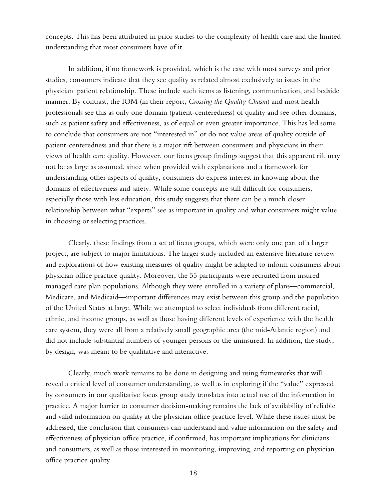concepts. This has been attributed in prior studies to the complexity of health care and the limited understanding that most consumers have of it.

In addition, if no framework is provided, which is the case with most surveys and prior studies, consumers indicate that they see quality as related almost exclusively to issues in the physician–patient relationship. These include such items as listening, communication, and bedside manner. By contrast, the IOM (in their report, *Crossing the Quality Chasm*) and most health professionals see this as only one domain (patient-centeredness) of quality and see other domains, such as patient safety and effectiveness, as of equal or even greater importance. This has led some to conclude that consumers are not "interested in" or do not value areas of quality outside of patient-centeredness and that there is a major rift between consumers and physicians in their views of health care quality. However, our focus group findings suggest that this apparent rift may not be as large as assumed, since when provided with explanations and a framework for understanding other aspects of quality, consumers do express interest in knowing about the domains of effectiveness and safety. While some concepts are still difficult for consumers, especially those with less education, this study suggests that there can be a much closer relationship between what "experts" see as important in quality and what consumers might value in choosing or selecting practices.

Clearly, these findings from a set of focus groups, which were only one part of a larger project, are subject to major limitations. The larger study included an extensive literature review and explorations of how existing measures of quality might be adapted to inform consumers about physician office practice quality. Moreover, the 55 participants were recruited from insured managed care plan populations. Although they were enrolled in a variety of plans—commercial, Medicare, and Medicaid—important differences may exist between this group and the population of the United States at large. While we attempted to select individuals from different racial, ethnic, and income groups, as well as those having different levels of experience with the health care system, they were all from a relatively small geographic area (the mid-Atlantic region) and did not include substantial numbers of younger persons or the uninsured. In addition, the study, by design, was meant to be qualitative and interactive.

Clearly, much work remains to be done in designing and using frameworks that will reveal a critical level of consumer understanding, as well as in exploring if the "value" expressed by consumers in our qualitative focus group study translates into actual use of the information in practice. A major barrier to consumer decision-making remains the lack of availability of reliable and valid information on quality at the physician office practice level. While these issues must be addressed, the conclusion that consumers can understand and value information on the safety and effectiveness of physician office practice, if confirmed, has important implications for clinicians and consumers, as well as those interested in monitoring, improving, and reporting on physician office practice quality.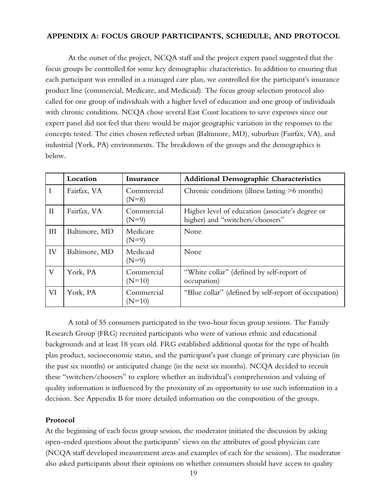### **APPENDIX A: FOCUS GROUP PARTICIPANTS, SCHEDULE, AND PROTOCOL**

At the outset of the project, NCQA staff and the project expert panel suggested that the focus groups be controlled for some key demographic characteristics. In addition to ensuring that each participant was enrolled in a managed care plan, we controlled for the participant's insurance product line (commercial, Medicare, and Medicaid). The focus group selection protocol also called for one group of individuals with a higher level of education and one group of individuals with chronic conditions. NCQA chose several East Coast locations to save expenses since our expert panel did not feel that there would be major geographic variation in the responses to the concepts tested. The cities chosen reflected urban (Baltimore, MD), suburban (Fairfax, VA), and industrial (York, PA) environments. The breakdown of the groups and the demographics is below.

|              | Location      | Insurance              | <b>Additional Demographic Characteristics</b>                                        |
|--------------|---------------|------------------------|--------------------------------------------------------------------------------------|
| I            | Fairfax, VA   | Commercial<br>$(N=8)$  | Chronic conditions (illness lasting >6 months)                                       |
| $\mathbf{I}$ | Fairfax, VA   | Commercial<br>$(N=9)$  | Higher level of education (associate's degree or<br>higher) and "switchers/choosers" |
| III          | Baltimore, MD | Medicare<br>$(N=9)$    | None                                                                                 |
| IV           | Baltimore, MD | Medicaid<br>$(N=9)$    | None                                                                                 |
| $\rm V$      | York, PA      | Commercial<br>$(N=10)$ | "White collar" (defined by self-report of<br>occupation)                             |
| VI           | York, PA      | Commercial<br>$(N=10)$ | "Blue collar" (defined by self-report of occupation)                                 |

A total of 55 consumers participated in the two-hour focus group sessions. The Family Research Group (FRG) recruited participants who were of various ethnic and educational backgrounds and at least 18 years old. FRG established additional quotas for the type of health plan product, socioeconomic status, and the participant's past change of primary care physician (in the past six months) or anticipated change (in the next six months). NCQA decided to recruit these "switchers/choosers" to explore whether an individual's comprehension and valuing of quality information is influenced by the proximity of an opportunity to use such information in a decision. See Appendix B for more detailed information on the composition of the groups.

### **Protocol**

At the beginning of each focus group session, the moderator initiated the discussion by asking open-ended questions about the participants' views on the attributes of good physician care (NCQA staff developed measurement areas and examples of each for the sessions). The moderator also asked participants about their opinions on whether consumers should have access to quality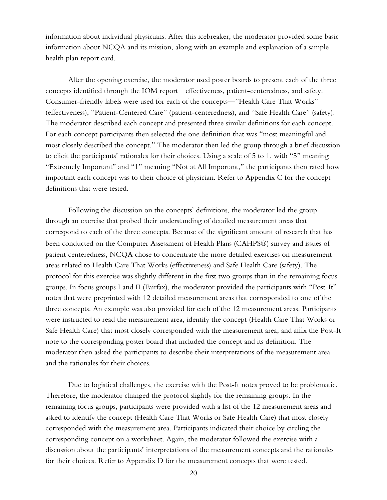information about individual physicians. After this icebreaker, the moderator provided some basic information about NCQA and its mission, along with an example and explanation of a sample health plan report card.

After the opening exercise, the moderator used poster boards to present each of the three concepts identified through the IOM report—effectiveness, patient-centeredness, and safety. Consumer-friendly labels were used for each of the concepts—"Health Care That Works" (effectiveness), "Patient-Centered Care" (patient-centeredness), and "Safe Health Care" (safety). The moderator described each concept and presented three similar definitions for each concept. For each concept participants then selected the one definition that was "most meaningful and most closely described the concept." The moderator then led the group through a brief discussion to elicit the participants' rationales for their choices. Using a scale of 5 to 1, with "5" meaning "Extremely Important" and "1" meaning "Not at All Important," the participants then rated how important each concept was to their choice of physician. Refer to Appendix C for the concept definitions that were tested.

Following the discussion on the concepts' definitions, the moderator led the group through an exercise that probed their understanding of detailed measurement areas that correspond to each of the three concepts. Because of the significant amount of research that has been conducted on the Computer Assessment of Health Plans (CAHPS®) survey and issues of patient centeredness, NCQA chose to concentrate the more detailed exercises on measurement areas related to Health Care That Works (effectiveness) and Safe Health Care (safety). The protocol for this exercise was slightly different in the first two groups than in the remaining focus groups. In focus groups I and II (Fairfax), the moderator provided the participants with "Post-It" notes that were preprinted with 12 detailed measurement areas that corresponded to one of the three concepts. An example was also provided for each of the 12 measurement areas. Participants were instructed to read the measurement area, identify the concept (Health Care That Works or Safe Health Care) that most closely corresponded with the measurement area, and affix the Post-It note to the corresponding poster board that included the concept and its definition. The moderator then asked the participants to describe their interpretations of the measurement area and the rationales for their choices.

Due to logistical challenges, the exercise with the Post-It notes proved to be problematic. Therefore, the moderator changed the protocol slightly for the remaining groups. In the remaining focus groups, participants were provided with a list of the 12 measurement areas and asked to identify the concept (Health Care That Works or Safe Health Care) that most closely corresponded with the measurement area. Participants indicated their choice by circling the corresponding concept on a worksheet. Again, the moderator followed the exercise with a discussion about the participants' interpretations of the measurement concepts and the rationales for their choices. Refer to Appendix D for the measurement concepts that were tested.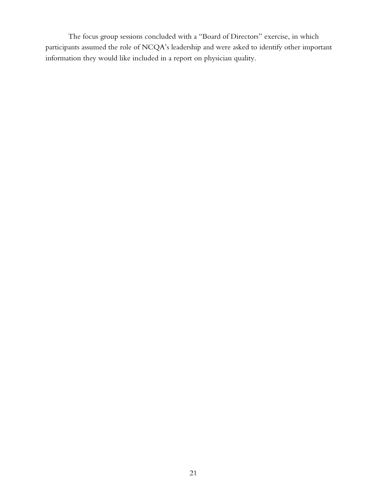The focus group sessions concluded with a "Board of Directors" exercise, in which participants assumed the role of NCQA's leadership and were asked to identify other important information they would like included in a report on physician quality.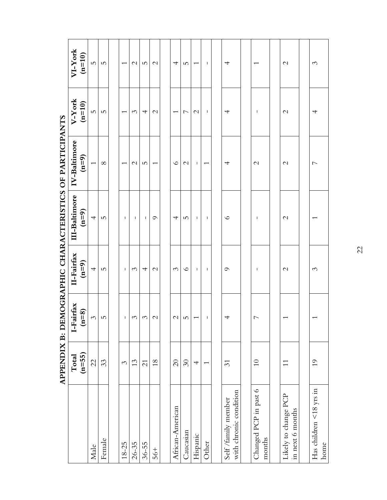|                                               | APPENDIX B: DI            |                          |                          |                          | EMOGRAPHIC CHARACTERISTICS OF PARTICIPANTS |                          |                          |
|-----------------------------------------------|---------------------------|--------------------------|--------------------------|--------------------------|--------------------------------------------|--------------------------|--------------------------|
|                                               | $(n=55)$<br>$\Gamma$ otal | I-Fairfax<br>$(n=8)$     | II-Fairfax<br>$(n=9)$    | III-Baltimore<br>$(n=9)$ | IV-Baltimore<br>$(n=9)$                    | V-York<br>$(n=10)$       | VI-York<br>$(n=10)$      |
| Male                                          | $\mathcal{Z}_1$           | $\mathcal{C}$            | $\overline{\phantom{a}}$ | $\overline{\phantom{a}}$ | $\overline{\phantom{0}}$                   | LO.                      | LO.                      |
| Female                                        | 33                        | $\overline{5}$           | $\overline{5}$           | LO <sub>1</sub>          | $\infty$                                   | $\overline{5}$           | 5                        |
|                                               |                           |                          |                          |                          |                                            |                          |                          |
| $18 - 25$                                     | 3                         | ı                        | T.                       | $\mathbf{I}$             | $\overline{\phantom{0}}$                   | $\overline{\phantom{0}}$ | $\overline{\phantom{0}}$ |
| $26 - 35$                                     | 13                        | $\mathfrak{S}$           | $\mathcal{C}$            | J.                       | $\mathcal{L}$                              | $\mathcal{C}$            | $\mathcal{C}$            |
| $36 - 55$                                     | $\overline{c}$            | $\mathcal{C}$            | 4                        | т.                       | S                                          | 4                        | 5                        |
| $56+$                                         | $18\,$                    | $\mathcal{L}$            | $\mathcal{L}$            | $\circ$                  | $\overline{\phantom{0}}$                   | $\mathcal{L}$            | $\mathcal{C}$            |
|                                               |                           |                          |                          |                          |                                            |                          |                          |
| African-American                              | $\overline{c}$            | $\mathcal{C}$            | $\mathcal{C}$            | 4                        | $\circ$                                    | $\overline{\phantom{0}}$ | 4                        |
| Caucasian                                     | $\Im$                     | S                        | $\circ$                  | 5                        | $\mathcal{L}$                              | $\overline{ }$           | 5                        |
| Hispanic                                      | $\overline{\phantom{a}}$  | $\overline{\phantom{0}}$ | $\mathbf{I}$             | $\mathbf{I}$             | $\mathbf{I}$                               | $\mathcal{C}$            | $\overline{\phantom{0}}$ |
| Other                                         | $\overline{\phantom{0}}$  |                          | $\mathbf{I}$             | $\mathbf{I}$             | $\overline{\phantom{0}}$                   | $\mathbf{I}$             | $\mathbf{I}$             |
|                                               |                           |                          |                          |                          |                                            |                          |                          |
| with chronic condition<br>Self /family member | $\overline{\mathcal{E}}$  | $\overline{\phantom{a}}$ | $\circ$                  | $\circ$                  | 4                                          | 4                        | 4                        |
|                                               |                           |                          |                          |                          |                                            |                          |                          |
| Changed PCP in past 6<br>months               | $\Omega$                  | $\overline{ }$           | т                        | т                        | $\mathcal{C}$                              | T                        |                          |
|                                               |                           |                          |                          |                          |                                            |                          |                          |
| Likely to change PCP<br>in next 6 months      | $\overline{1}$            |                          | $\mathcal{L}$            | $\mathcal{C}$            | $\mathcal{C}$                              | $\mathcal{C}$            | $\mathcal{C}$            |
|                                               |                           |                          |                          |                          |                                            |                          |                          |
| Has children $\leq$ 18 yrs in<br>home         | $\overline{0}$            |                          | 3                        |                          | $\overline{ }$                             | 4                        | $\mathcal{C}$            |

22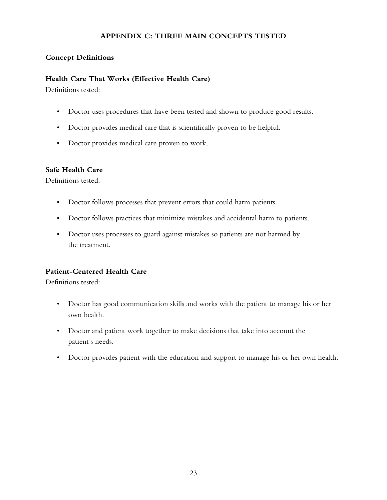### **APPENDIX C: THREE MAIN CONCEPTS TESTED**

### **Concept Definitions**

### **Health Care That Works (Effective Health Care)**

Definitions tested:

- Doctor uses procedures that have been tested and shown to produce good results.
- Doctor provides medical care that is scientifically proven to be helpful.
- Doctor provides medical care proven to work.

### **Safe Health Care**

Definitions tested:

- Doctor follows processes that prevent errors that could harm patients.
- Doctor follows practices that minimize mistakes and accidental harm to patients.
- Doctor uses processes to guard against mistakes so patients are not harmed by the treatment.

### **Patient-Centered Health Care**

Definitions tested:

- Doctor has good communication skills and works with the patient to manage his or her own health.
- Doctor and patient work together to make decisions that take into account the patient's needs.
- Doctor provides patient with the education and support to manage his or her own health.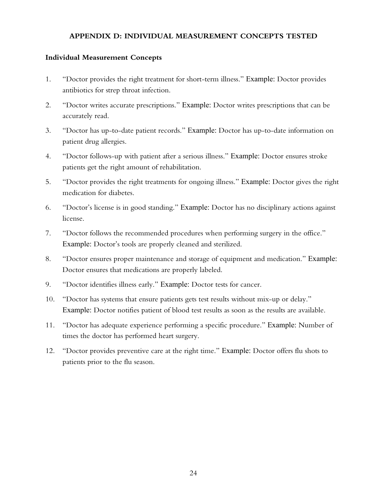### **APPENDIX D: INDIVIDUAL MEASUREMENT CONCEPTS TESTED**

### **Individual Measurement Concepts**

- 1. "Doctor provides the right treatment for short-term illness." *Example:* Doctor provides antibiotics for strep throat infection.
- 2. "Doctor writes accurate prescriptions." *Example:* Doctor writes prescriptions that can be accurately read.
- 3. "Doctor has up-to-date patient records." *Example:* Doctor has up-to-date information on patient drug allergies.
- 4. "Doctor follows-up with patient after a serious illness." *Example:* Doctor ensures stroke patients get the right amount of rehabilitation.
- 5. "Doctor provides the right treatments for ongoing illness." *Example:* Doctor gives the right medication for diabetes.
- 6. "Doctor's license is in good standing." *Example:* Doctor has no disciplinary actions against license.
- 7. "Doctor follows the recommended procedures when performing surgery in the office." *Example:* Doctor's tools are properly cleaned and sterilized.
- 8. "Doctor ensures proper maintenance and storage of equipment and medication." *Example:* Doctor ensures that medications are properly labeled.
- 9. "Doctor identifies illness early." *Example:* Doctor tests for cancer.
- 10. "Doctor has systems that ensure patients gets test results without mix-up or delay." *Example:* Doctor notifies patient of blood test results as soon as the results are available.
- 11. "Doctor has adequate experience performing a specific procedure." *Example:* Number of times the doctor has performed heart surgery.
- 12. "Doctor provides preventive care at the right time." *Example:* Doctor offers flu shots to patients prior to the flu season.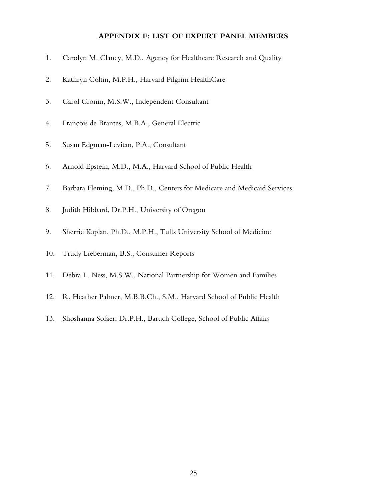#### **APPENDIX E: LIST OF EXPERT PANEL MEMBERS**

- 1. Carolyn M. Clancy, M.D., Agency for Healthcare Research and Quality
- 2. Kathryn Coltin, M.P.H., Harvard Pilgrim HealthCare
- 3. Carol Cronin, M.S.W., Independent Consultant
- 4. François de Brantes, M.B.A., General Electric
- 5. Susan Edgman-Levitan, P.A., Consultant
- 6. Arnold Epstein, M.D., M.A., Harvard School of Public Health
- 7. Barbara Fleming, M.D., Ph.D., Centers for Medicare and Medicaid Services
- 8. Judith Hibbard, Dr.P.H., University of Oregon
- 9. Sherrie Kaplan, Ph.D., M.P.H., Tufts University School of Medicine
- 10. Trudy Lieberman, B.S., Consumer Reports
- 11. Debra L. Ness, M.S.W., National Partnership for Women and Families
- 12. R. Heather Palmer, M.B.B.Ch., S.M., Harvard School of Public Health
- 13. Shoshanna Sofaer, Dr.P.H., Baruch College, School of Public Affairs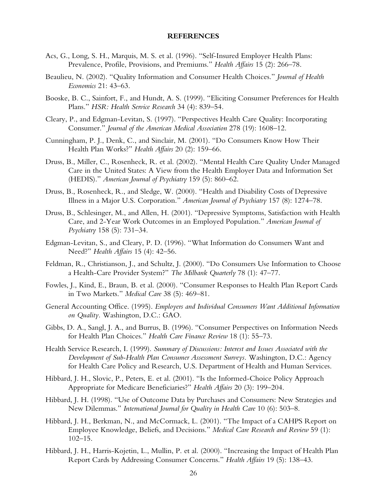#### **REFERENCES**

- Acs, G., Long, S. H., Marquis, M. S. et al. (1996). "Self-Insured Employer Health Plans: Prevalence, Profile, Provisions, and Premiums." *Health Affairs* 15 (2): 266–78.
- Beaulieu, N. (2002). "Quality Information and Consumer Health Choices." *Journal of Health Economics* 21: 43–63.
- Booske, B. C., Sainfort, F., and Hundt, A. S. (1999). "Eliciting Consumer Preferences for Health Plans." *HSR: Health Service Research* 34 (4): 839–54.
- Cleary, P., and Edgman-Levitan, S. (1997). "Perspectives Health Care Quality: Incorporating Consumer." *Journal of the American Medical Association* 278 (19): 1608–12.
- Cunningham, P. J., Denk, C., and Sinclair, M. (2001). "Do Consumers Know How Their Health Plan Works?" *Health Affairs* 20 (2): 159–66.
- Druss, B., Miller, C., Rosenheck, R. et al. (2002). "Mental Health Care Quality Under Managed Care in the United States: A View from the Health Employer Data and Information Set (HEDIS)." *American Journal of Psychiatry* 159 (5): 860–62.
- Druss, B., Rosenheck, R., and Sledge, W. (2000). "Health and Disability Costs of Depressive Illness in a Major U.S. Corporation." *American Journal of Psychiatry* 157 (8): 1274–78.
- Druss, B., Schlesinger, M., and Allen, H. (2001). "Depressive Symptoms, Satisfaction with Health Care, and 2-Year Work Outcomes in an Employed Population." *American Journal of Psychiatry* 158 (5): 731–34.
- Edgman-Levitan, S., and Cleary, P. D. (1996). "What Information do Consumers Want and Need?" *Health Affairs* 15 (4): 42–56.
- Feldman, R., Christianson, J., and Schultz, J. (2000). "Do Consumers Use Information to Choose a Health-Care Provider System?" *The Milbank Quarterly* 78 (1): 47–77.
- Fowles, J., Kind, E., Braun, B. et al. (2000). "Consumer Responses to Health Plan Report Cards in Two Markets." *Medical Care* 38 (5): 469–81.
- General Accounting Office. (1995). *Employers and Individual Consumers Want Additional Information on Quality.* Washington, D.C.: GAO.
- Gibbs, D. A., Sangl, J. A., and Burrus, B. (1996). "Consumer Perspectives on Information Needs for Health Plan Choices." *Health Care Finance Review* 18 (1): 55–73.
- Health Service Research, I. (1999). *Summary of Discussions: Interest and Issues Associated with the Development of Sub-Health Plan Consumer Assessment Surveys.* Washington, D.C.: Agency for Health Care Policy and Research, U.S. Department of Health and Human Services.
- Hibbard, J. H., Slovic, P., Peters, E. et al. (2001). "Is the Informed-Choice Policy Approach Appropriate for Medicare Beneficiaries?" *Health Affairs* 20 (3): 199–204.
- Hibbard, J. H. (1998). "Use of Outcome Data by Purchases and Consumers: New Strategies and New Dilemmas." *International Journal for Quality in Health Care* 10 (6): 503–8.
- Hibbard, J. H., Berkman, N., and McCormack, L. (2001). "The Impact of a CAHPS Report on Employee Knowledge, Beliefs, and Decisions." *Medical Care Research and Review* 59 (1): 102–15.
- Hibbard, J. H., Harris-Kojetin, L., Mullin, P. et al. (2000). "Increasing the Impact of Health Plan Report Cards by Addressing Consumer Concerns." *Health Affairs* 19 (5): 138–43.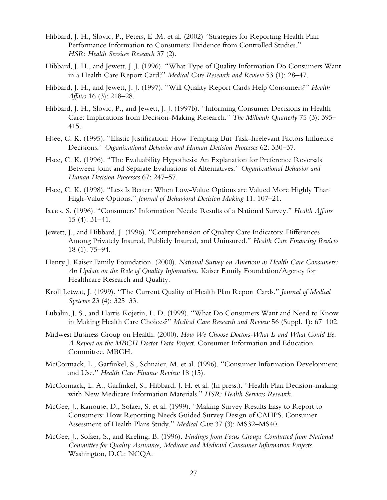- Hibbard, J. H., Slovic, P., Peters, E .M. et al. (2002) "Strategies for Reporting Health Plan Performance Information to Consumers: Evidence from Controlled Studies." *HSR: Health Services Research* 37 (2).
- Hibbard, J. H., and Jewett, J. J. (1996). "What Type of Quality Information Do Consumers Want in a Health Care Report Card?" *Medical Care Research and Review* 53 (1): 28–47.
- Hibbard, J. H., and Jewett, J. J. (1997). "Will Quality Report Cards Help Consumers?" *Health Affairs* 16 (3): 218–28.
- Hibbard, J. H., Slovic, P., and Jewett, J. J. (1997b). "Informing Consumer Decisions in Health Care: Implications from Decision-Making Research." *The Milbank Quarterly* 75 (3): 395– 415.
- Hsee, C. K. (1995). "Elastic Justification: How Tempting But Task-Irrelevant Factors Influence Decisions." *Organizational Behavior and Human Decision Processes* 62: 330–37.
- Hsee, C. K. (1996). "The Evaluability Hypothesis: An Explanation for Preference Reversals Between Joint and Separate Evaluations of Alternatives." *Organizational Behavior and Human Decision Processes* 67: 247–57.
- Hsee, C. K. (1998). "Less Is Better: When Low-Value Options are Valued More Highly Than High-Value Options." *Journal of Behavioral Decision Making* 11: 107–21.
- Isaacs, S. (1996). "Consumers' Information Needs: Results of a National Survey." *Health Affairs* 15 (4): 31–41.
- Jewett, J., and Hibbard, J. (1996). "Comprehension of Quality Care Indicators: Differences Among Privately Insured, Publicly Insured, and Uninsured." *Health Care Financing Review* 18 (1): 75–94.
- Henry J. Kaiser Family Foundation. (2000). *National Survey on American as Health Care Consumers: An Update on the Role of Quality Information.* Kaiser Family Foundation/Agency for Healthcare Research and Quality.
- Kroll Letwat, J. (1999). "The Current Quality of Health Plan Report Cards." *Journal of Medical Systems* 23 (4): 325–33.
- Lubalin, J. S., and Harris-Kojetin, L. D. (1999). "What Do Consumers Want and Need to Know in Making Health Care Choices?" *Medical Care Research and Review* 56 (Suppl. 1): 67–102.
- Midwest Business Group on Health. (2000). *How We Choose Doctors-What Is and What Could Be. A Report on the MBGH Doctor Data Project.* Consumer Information and Education Committee, MBGH.
- McCormack, L., Garfinkel, S., Schnaier, M. et al. (1996). "Consumer Information Development and Use." *Health Care Finance Review* 18 (15).
- McCormack, L. A., Garfinkel, S., Hibbard, J. H. et al. (In press.). "Health Plan Decision-making with New Medicare Information Materials." *HSR: Health Services Research.*
- McGee, J., Kanouse, D., Sofaer, S. et al. (1999). "Making Survey Results Easy to Report to Consumers: How Reporting Needs Guided Survey Design of CAHPS. Consumer Assessment of Health Plans Study." *Medical Care* 37 (3): MS32–MS40.
- McGee, J., Sofaer, S., and Kreling, B. (1996). *Findings from Focus Groups Conducted from National Committee for Quality Assurance, Medicare and Medicaid Consumer Information Projects.* Washington, D.C.: NCQA.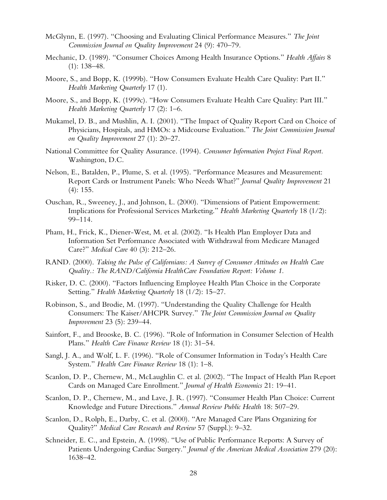- McGlynn, E. (1997). "Choosing and Evaluating Clinical Performance Measures." *The Joint Commission Journal on Quality Improvement* 24 (9): 470–79.
- Mechanic, D. (1989). "Consumer Choices Among Health Insurance Options." *Health Affairs* 8 (1): 138–48.
- Moore, S., and Bopp, K. (1999b). "How Consumers Evaluate Health Care Quality: Part II." *Health Marketing Quarterly* 17 (1).
- Moore, S., and Bopp, K. (1999c). "How Consumers Evaluate Health Care Quality: Part III." *Health Marketing Quarterly* 17 (2): 1–6.
- Mukamel, D. B., and Mushlin, A. I. (2001). "The Impact of Quality Report Card on Choice of Physicians, Hospitals, and HMOs: a Midcourse Evaluation." *The Joint Commission Journal on Quality Improvement* 27 (1): 20–27.
- National Committee for Quality Assurance. (1994). *Consumer Information Project Final Report.* Washington, D.C.
- Nelson, E., Batalden, P., Plume, S. et al. (1995). "Performance Measures and Measurement: Report Cards or Instrument Panels: Who Needs What?" *Journal Quality Improvement* 21 (4): 155.
- Ouschan, R., Sweeney, J., and Johnson, L. (2000). "Dimensions of Patient Empowerment: Implications for Professional Services Marketing." *Health Marketing Quarterly* 18 (1/2): 99–114.
- Pham, H., Frick, K., Diener-West, M. et al. (2002). "Is Health Plan Employer Data and Information Set Performance Associated with Withdrawal from Medicare Managed Care?" *Medical Care* 40 (3): 212–26.
- RAND. (2000). *Taking the Pulse of Californians: A Survey of Consumer Attitudes on Health Care Quality.: The RAND/California HealthCare Foundation Report: Volume 1.*
- Risker, D. C. (2000). "Factors Influencing Employee Health Plan Choice in the Corporate Setting." *Health Marketing Quarterly* 18 (1/2): 15–27.
- Robinson, S., and Brodie, M. (1997). "Understanding the Quality Challenge for Health Consumers: The Kaiser/AHCPR Survey." *The Joint Commission Journal on Quality Improvement* 23 (5): 239–44.
- Sainfort, F., and Brooske, B. C. (1996). "Role of Information in Consumer Selection of Health Plans." *Health Care Finance Review* 18 (1): 31–54.
- Sangl, J. A., and Wolf, L. F. (1996). "Role of Consumer Information in Today's Health Care System." *Health Care Finance Review* 18 (1): 1–8.
- Scanlon, D. P., Chernew, M., McLaughlin C. et al. (2002). "The Impact of Health Plan Report Cards on Managed Care Enrollment." *Journal of Health Economics* 21: 19–41.
- Scanlon, D. P., Chernew, M., and Lave, J. R. (1997). "Consumer Health Plan Choice: Current Knowledge and Future Directions." *Annual Review Public Health* 18: 507–29.
- Scanlon, D., Rolph, E., Darby, C. et al. (2000). "Are Managed Care Plans Organizing for Quality?" *Medical Care Research and Review* 57 (Suppl.): 9–32.
- Schneider, E. C., and Epstein, A. (1998). "Use of Public Performance Reports: A Survey of Patients Undergoing Cardiac Surgery." *Journal of the American Medical Association* 279 (20): 1638–42.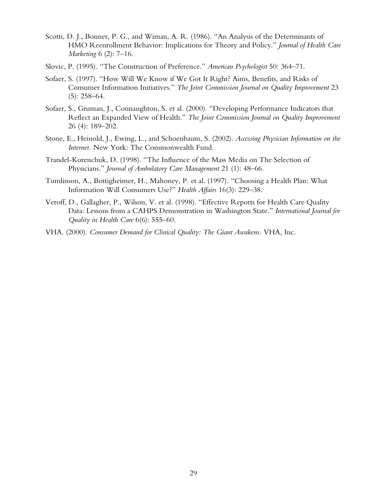- Scotti, D. J., Bonner, P. G., and Wiman, A. R. (1986). "An Analysis of the Determinants of HMO Reenrollment Behavior: Implications for Theory and Policy." *Journal of Health Care Marketing* 6 (2): 7–16.
- Slovic, P. (1995). "The Construction of Preference." *American Psychologist* 50: 364–71.
- Sofaer, S. (1997). "How Will We Know if We Got It Right? Aims, Benefits, and Risks of Consumer Information Initiatives." *The Joint Commission Journal on Quality Improvement* 23 (5): 258–64.
- Sofaer, S., Gruman, J., Connaughton, S. et al. (2000). "Developing Performance Indicators that Reflect an Expanded View of Health." *The Joint Commission Journal on Quality Improvement* 26 (4): 189–202.
- Stone, E., Heinold, J., Ewing, L., and Schoenbaum, S. (2002). *Accessing Physician Information on the Internet.* New York: The Commonwealth Fund.
- Trandel-Korenchuk, D. (1998). "The Influence of the Mass Media on The Selection of Physicians." *Journal of Ambulatory Care Management* 21 (1): 48–66.
- Tumlinson, A., Bottigheimer, H., Mahoney, P. et al. (1997). "Choosing a Health Plan: What Information Will Consumers Use?" *Health Affairs* 16(3): 229–38.
- Veroff, D., Gallagher, P., Wilson, V. et al. (1998). "Effective Reports for Health Care Quality Data: Lessons from a CAHPS Demonstration in Washington State." *International Journal for Quality in Health Care* 6(6): 555–60.
- VHA. (2000). *Consumer Demand for Clinical Quality: The Giant Awakens.* VHA, Inc.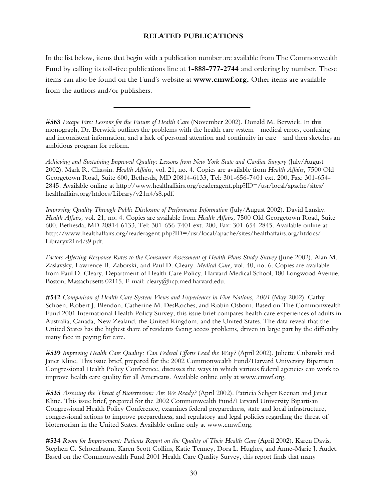### **RELATED PUBLICATIONS**

In the list below, items that begin with a publication number are available from The Commonwealth Fund by calling its toll-free publications line at **1-888-777-2744** and ordering by number. These items can also be found on the Fund's website at **www.cmwf.org.** Other items are available from the authors and/or publishers.

**#563** *Escape Fire: Lessons for the Future of Health Care* (November 2002). Donald M. Berwick. In this monograph, Dr. Berwick outlines the problems with the health care system—medical errors, confusing and inconsistent information, and a lack of personal attention and continuity in care—and then sketches an ambitious program for reform.

*Achieving and Sustaining Improved Quality: Lessons from New York State and Cardiac Surgery* (July/August 2002). Mark R. Chassin. *Health Affairs,* vol. 21, no. 4. Copies are available from *Health Affairs,* 7500 Old Georgetown Road, Suite 600, Bethesda, MD 20814-6133, Tel: 301-656-7401 ext. 200, Fax: 301-654- 2845. Available online at http://www.healthaffairs.org/readeragent.php?ID=/usr/local/apache/sites/ healthaffairs.org/htdocs/Library/v21n4/s8.pdf.

*Improving Quality Through Public Disclosure of Performance Information* (July/August 2002). David Lansky. *Health Affairs,* vol. 21, no. 4. Copies are available from *Health Affairs,* 7500 Old Georgetown Road, Suite 600, Bethesda, MD 20814-6133, Tel: 301-656-7401 ext. 200, Fax: 301-654-2845. Available online at http://www.healthaffairs.org/readeragent.php?ID=/usr/local/apache/sites/healthaffairs.org/htdocs/ Libraryv21n4/s9.pdf.

*Factors Affecting Response Rates to the Consumer Assessment of Health Plans Study Survey* (June 2002). Alan M. Zaslavsky, Lawrence B. Zaborski, and Paul D. Cleary. *Medical Care,* vol. 40, no. 6. Copies are available from Paul D. Cleary, Department of Health Care Policy, Harvard Medical School, 180 Longwood Avenue, Boston, Massachusetts 02115, E-mail: cleary@hcp.med.harvard.edu.

**#542** *Comparison of Health Care System Views and Experiences in Five Nations, 2001* (May 2002). Cathy Schoen, Robert J. Blendon, Catherine M. DesRoches, and Robin Osborn. Based on The Commonwealth Fund 2001 International Health Policy Survey, this issue brief compares health care experiences of adults in Australia, Canada, New Zealand, the United Kingdom, and the United States. The data reveal that the United States has the highest share of residents facing access problems, driven in large part by the difficulty many face in paying for care.

**#539** *Improving Health Care Quality: Can Federal Efforts Lead the Way?* (April 2002). Juliette Cubanski and Janet Kline. This issue brief, prepared for the 2002 Commonwealth Fund/Harvard University Bipartisan Congressional Health Policy Conference, discusses the ways in which various federal agencies can work to improve health care quality for all Americans. Available online only at www.cmwf.org.

**#535** *Assessing the Threat of Bioterrorism: Are We Ready?* (April 2002). Patricia Seliger Keenan and Janet Kline. This issue brief, prepared for the 2002 Commonwealth Fund/Harvard University Bipartisan Congressional Health Policy Conference, examines federal preparedness, state and local infrastructure, congressional actions to improve preparedness, and regulatory and legal policies regarding the threat of bioterrorism in the United States. Available online only at www.cmwf.org.

**#534** *Room for Improvement: Patients Report on the Quality of Their Health Care* (April 2002). Karen Davis, Stephen C. Schoenbaum, Karen Scott Collins, Katie Tenney, Dora L. Hughes, and Anne-Marie J. Audet. Based on the Commonwealth Fund 2001 Health Care Quality Survey, this report finds that many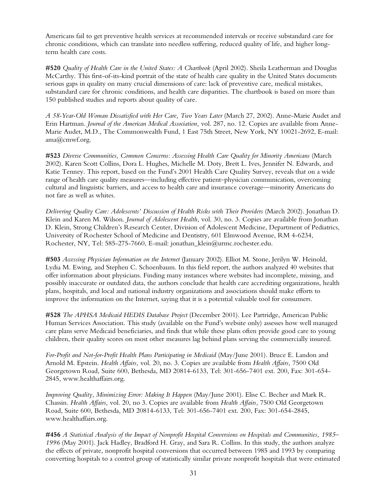Americans fail to get preventive health services at recommended intervals or receive substandard care for chronic conditions, which can translate into needless suffering, reduced quality of life, and higher longterm health care costs.

**#520** *Quality of Health Care in the United States: A Chartbook* (April 2002). Sheila Leatherman and Douglas McCarthy. This first-of-its-kind portrait of the state of health care quality in the United States documents serious gaps in quality on many crucial dimensions of care: lack of preventive care, medical mistakes, substandard care for chronic conditions, and health care disparities. The chartbook is based on more than 150 published studies and reports about quality of care.

*A 58-Year-Old Woman Dissatisfied with Her Care, Two Years Later* (March 27, 2002). Anne-Marie Audet and Erin Hartman. *Journal of the American Medical Association,* vol. 287, no. 12. Copies are available from Anne-Marie Audet, M.D., The Commonwealth Fund, 1 East 75th Street, New York, NY 10021-2692, E-mail: ama@cmwf.org.

**#523** *Diverse Communities, Common Concerns: Assessing Health Care Quality for Minority Americans* (March 2002). Karen Scott Collins, Dora L. Hughes, Michelle M. Doty, Brett L. Ives, Jennifer N. Edwards, and Katie Tenney. This report, based on the Fund's 2001 Health Care Quality Survey, reveals that on a wide range of health care quality measures—including effective patient–physician communication, overcoming cultural and linguistic barriers, and access to health care and insurance coverage—minority Americans do not fare as well as whites.

*Delivering Quality Care: Adolescents' Discussion of Health Risks with Their Providers* (March 2002). Jonathan D. Klein and Karen M. Wilson. *Journal of Adolescent Health,* vol. 30, no. 3. Copies are available from Jonathan D. Klein, Strong Children's Research Center, Division of Adolescent Medicine, Department of Pediatrics, University of Rochester School of Medicine and Dentistry, 601 Elmwood Avenue, RM 4-6234, Rochester, NY, Tel: 585-275-7660, E-mail: jonathan\_klein@urmc.rochester.edu.

**#503** *Accessing Physician Information on the Internet* (January 2002). Elliot M. Stone, Jerilyn W. Heinold, Lydia M. Ewing, and Stephen C. Schoenbaum. In this field report, the authors analyzed 40 websites that offer information about physicians. Finding many instances where websites had incomplete, missing, and possibly inaccurate or outdated data, the authors conclude that health care accrediting organizations, health plans, hospitals, and local and national industry organizations and associations should make efforts to improve the information on the Internet, saying that it is a potential valuable tool for consumers.

**#528** *The APHSA Medicaid HEDIS Database Project* (December 2001). Lee Partridge, American Public Human Services Association. This study (available on the Fund's website only) assesses how well managed care plans serve Medicaid beneficiaries, and finds that while these plans often provide good care to young children, their quality scores on most other measures lag behind plans serving the commercially insured.

*For-Profit and Not-for-Profit Health Plans Participating in Medicaid* (May/June 2001). Bruce E. Landon and Arnold M. Epstein. *Health Affairs,* vol. 20, no. 3. Copies are available from *Health Affairs,* 7500 Old Georgetown Road, Suite 600, Bethesda, MD 20814-6133, Tel: 301-656-7401 ext. 200, Fax: 301-654- 2845, www.healthaffairs.org.

*Improving Quality, Minimizing Error: Making It Happen* (May/June 2001). Elise C. Becher and Mark R. Chassin. *Health Affairs,* vol. 20, no 3. Copies are available from *Health Affairs,* 7500 Old Georgetown Road, Suite 600, Bethesda, MD 20814-6133, Tel: 301-656-7401 ext. 200, Fax: 301-654-2845, www.healthaffairs.org.

**#456** *A Statistical Analysis of the Impact of Nonprofit Hospital Conversions on Hospitals and Communities, 1985– 1996* (May 2001). Jack Hadley, Bradford H. Gray, and Sara R. Collins. In this study, the authors analyze the effects of private, nonprofit hospital conversions that occurred between 1985 and 1993 by comparing converting hospitals to a control group of statistically similar private nonprofit hospitals that were estimated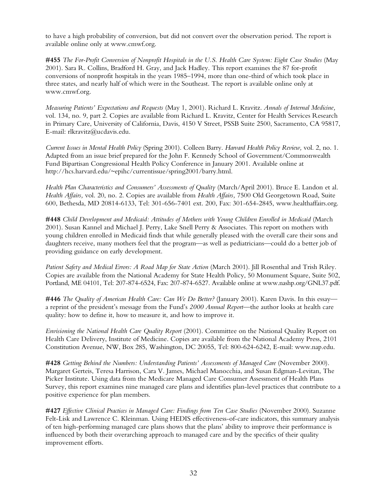to have a high probability of conversion, but did not convert over the observation period. The report is available online only at www.cmwf.org.

**#455** *The For-Profit Conversion of Nonprofit Hospitals in the U.S. Health Care System: Eight Case Studies* (May 2001). Sara R. Collins, Bradford H. Gray, and Jack Hadley. This report examines the 87 for-profit conversions of nonprofit hospitals in the years 1985–1994, more than one-third of which took place in three states, and nearly half of which were in the Southeast. The report is available online only at www.cmwf.org.

*Measuring Patients' Expectations and Requests* (May 1, 2001). Richard L. Kravitz. *Annals of Internal Medicine,* vol. 134, no. 9, part 2. Copies are available from Richard L. Kravitz, Center for Health Services Research in Primary Care, University of California, Davis, 4150 V Street, PSSB Suite 2500, Sacramento, CA 95817, E-mail: rlkravitz@ucdavis.edu.

*Current Issues in Mental Health Policy* (Spring 2001). Colleen Barry. *Harvard Health Policy Review,* vol. 2, no. 1. Adapted from an issue brief prepared for the John F. Kennedy School of Government/Commonwealth Fund Bipartisan Congressional Health Policy Conference in January 2001. Available online at http://hcs.harvard.edu/~epihc/currentissue/spring2001/barry.html.

*Health Plan Characteristics and Consumers' Assessments of Quality* (March/April 2001). Bruce E. Landon et al. *Health Affairs,* vol. 20, no. 2. Copies are available from *Health Affairs,* 7500 Old Georgetown Road, Suite 600, Bethesda, MD 20814-6133, Tel: 301-656-7401 ext. 200, Fax: 301-654-2845, www.healthaffairs.org.

**#448** *Child Development and Medicaid: Attitudes of Mothers with Young Children Enrolled in Medicaid* (March 2001). Susan Kannel and Michael J. Perry, Lake Snell Perry & Associates. This report on mothers with young children enrolled in Medicaid finds that while generally pleased with the overall care their sons and daughters receive, many mothers feel that the program—as well as pediatricians—could do a better job of providing guidance on early development.

*Patient Safety and Medical Errors: A Road Map for State Action* (March 2001). Jill Rosenthal and Trish Riley. Copies are available from the National Academy for State Health Policy, 50 Monument Square, Suite 502, Portland, ME 04101, Tel: 207-874-6524, Fax: 207-874-6527. Available online at www.nashp.org/GNL37.pdf.

**#446** *The Quality of American Health Care: Can We Do Better?* (January 2001). Karen Davis. In this essay a reprint of the president's message from the Fund's *2000 Annual Report*—the author looks at health care quality: how to define it, how to measure it, and how to improve it.

*Envisioning the National Health Care Quality Report* (2001). Committee on the National Quality Report on Health Care Delivery, Institute of Medicine. Copies are available from the National Academy Press, 2101 Constitution Avenue, NW, Box 285, Washington, DC 20055, Tel: 800-624-6242, E-mail: www.nap.edu.

**#428** *Getting Behind the Numbers: Understanding Patients' Assessments of Managed Care* (November 2000). Margaret Gerteis, Teresa Harrison, Cara V. James, Michael Manocchia, and Susan Edgman-Levitan, The Picker Institute. Using data from the Medicare Managed Care Consumer Assessment of Health Plans Survey, this report examines nine managed care plans and identifies plan-level practices that contribute to a positive experience for plan members.

**#427** *Effective Clinical Practices in Managed Care: Findings from Ten Case Studies* (November 2000). Suzanne Felt-Lisk and Lawrence C. Kleinman. Using HEDIS effectiveness-of-care indicators, this summary analysis of ten high-performing managed care plans shows that the plans' ability to improve their performance is influenced by both their overarching approach to managed care and by the specifics of their quality improvement efforts.